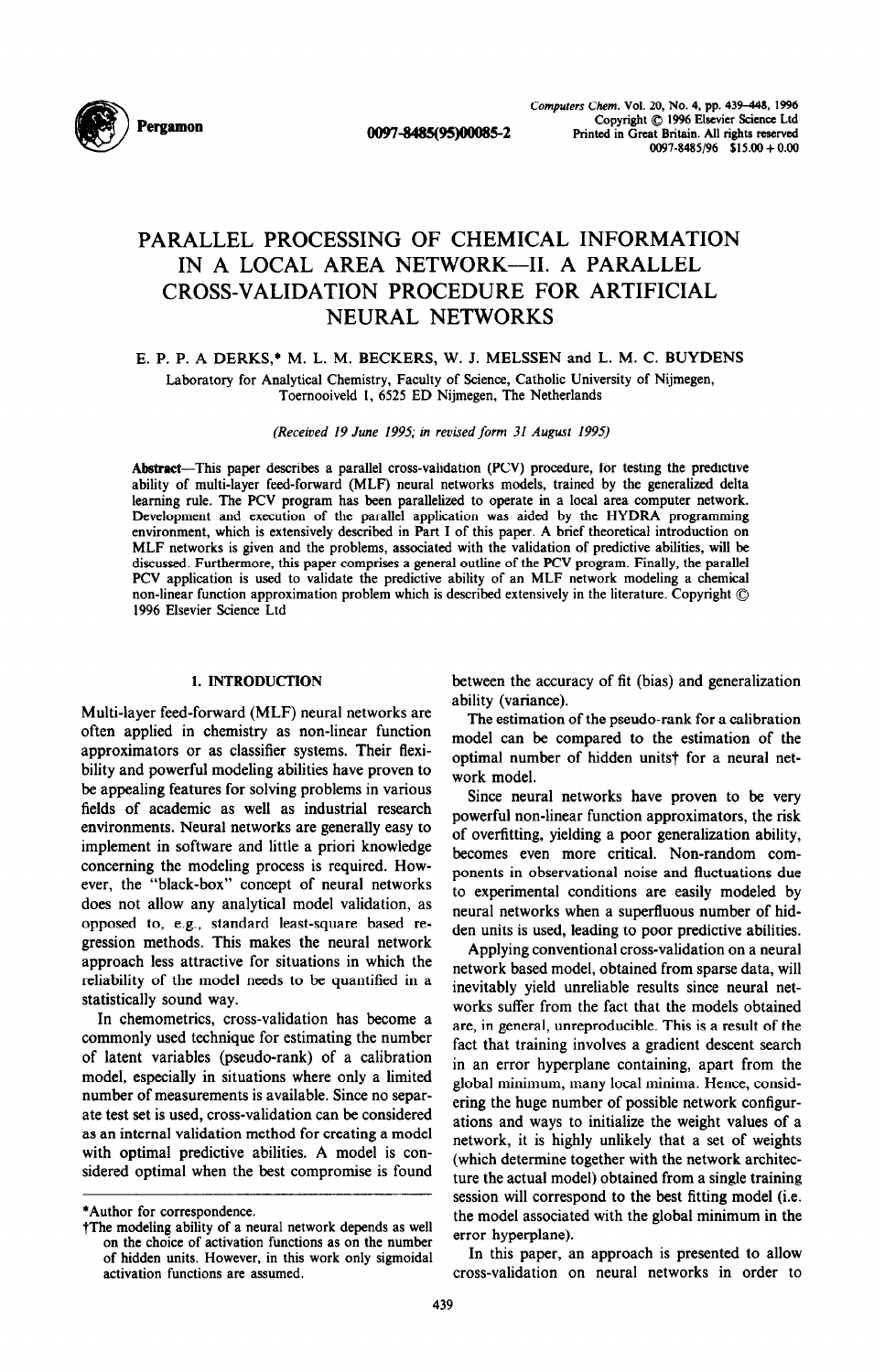

0097-8485(95)00085-2

# PARALLEL PROCESSING OF CHEMICAL INFORMATION IN A LOCAL AREA NETWORK-II. A PARALLEL CROSS-VALIDATION PROCEDURE FOR ARTIFICIAL NEURAL NETWORKS

E. P. P. A DERKS,\* M. L. M. BECKER& W. J. MELSSEN and L. M. C. BUYDENS

Laboratory for Analytical Chemistry, Faculty of Science, Catholic University of Nijmegen, Toemooiveld 1, 6525 ED Nijmegen, The Netherlands

*(Received 19 June 1995; in revised form 31 August 1995)* 

Abstract-This paper describes a parallel cross-validation (PCV) procedure, for testing the predictive ability of multi-layer feed-forward (MLF) neural networks models, trained by the generalized delta learning rule. The PCV program has been parallelized to operate in a local area computer network. Development and execution of the parallel application was aided by the HYDRA programming environment, which is extensively described in Part I of this paper. A brief theoretical introduction on MLF networks is given and the problems, associated with the validation of predictive abilities, will be discussed. Furthermore, this paper comprises a general outline of the PCV program. Finally, the parallel PCV application is used to validate the predictive ability of an MLF network modeling a chemical non-linear function approximation problem which is described extensively in the literature. Copyright  $\circledcirc$ 1996 Elsevier Science Ltd

#### 1. INTRODUCTION

Multi-layer feed-forward (MLF) neural networks are often applied in chemistry as non-linear function approximators or as classifier systems. Their flexibility and powerful modeling abilities have proven to be appealing features for solving problems in various fields of academic as well as industrial research environments. Neural networks are generally easy to implement in software and little a priori knowledge concerning the modeling process is required. However, the "black-box" concept of neural networks does not allow any analytical model validation, as opposed to, e.g., standard least-square based regression methods. This makes the neural network approach less attractive for situations in which the reliability of the model needs to be quantified in a statistically sound way.

In chemometrics, cross-validation has become a commonly used technique for estimating the number of latent variables (pseudo-rank) of a calibration model, especially in situations where only a limited number of measurements is available. Since no separate test set is used, cross-validation can be considered as an internal validation method for creating a model with optimal predictive abilities. A model is considered optimal when the best compromise is found between the accuracy of fit (bias) and generalization ability (variance).

The estimation of the pseudo-rank for a calibration model can be compared to the estimation of the optimal number of hidden unitst for a neural network model.

Since neural networks have proven to be very powerful non-linear function approximators, the risk of overfitting, yielding a poor generalization ability, becomes even more critical. Non-random components in observational noise and fluctuations due to experimental conditions are easily modeled by neural networks when a superfluous number of hidden units is used, leading to poor predictive abilities.

Applying conventional cross-validation on a neural network based model, obtained from sparse data, will inevitably yield unreliable results since neural networks suffer from the fact that the models obtained are, in general, unreproducible. This is a result of the fact that training involves a gradient descent search in an error hyperplane containing, apart from the global minimum, many local minima. Hence, considering the huge number of possible network configurations and ways to initialize the weight values of a network, it is highly unlikely that a set of weights (which determine together with the network architecture the actual model) obtained from a single training session will correspond to the best fitting model (i.e. the model associated with the global minimum in the error hyperplane).

In this paper, an approach is presented to allow cross-validation on neural networks in order to

<sup>\*</sup>Author for correspondence.

tThe modeling ability of a neural network depends as well on the choice of activation functions as on the number of hidden units. However, in this work only sigmoidal activation functions are assumed.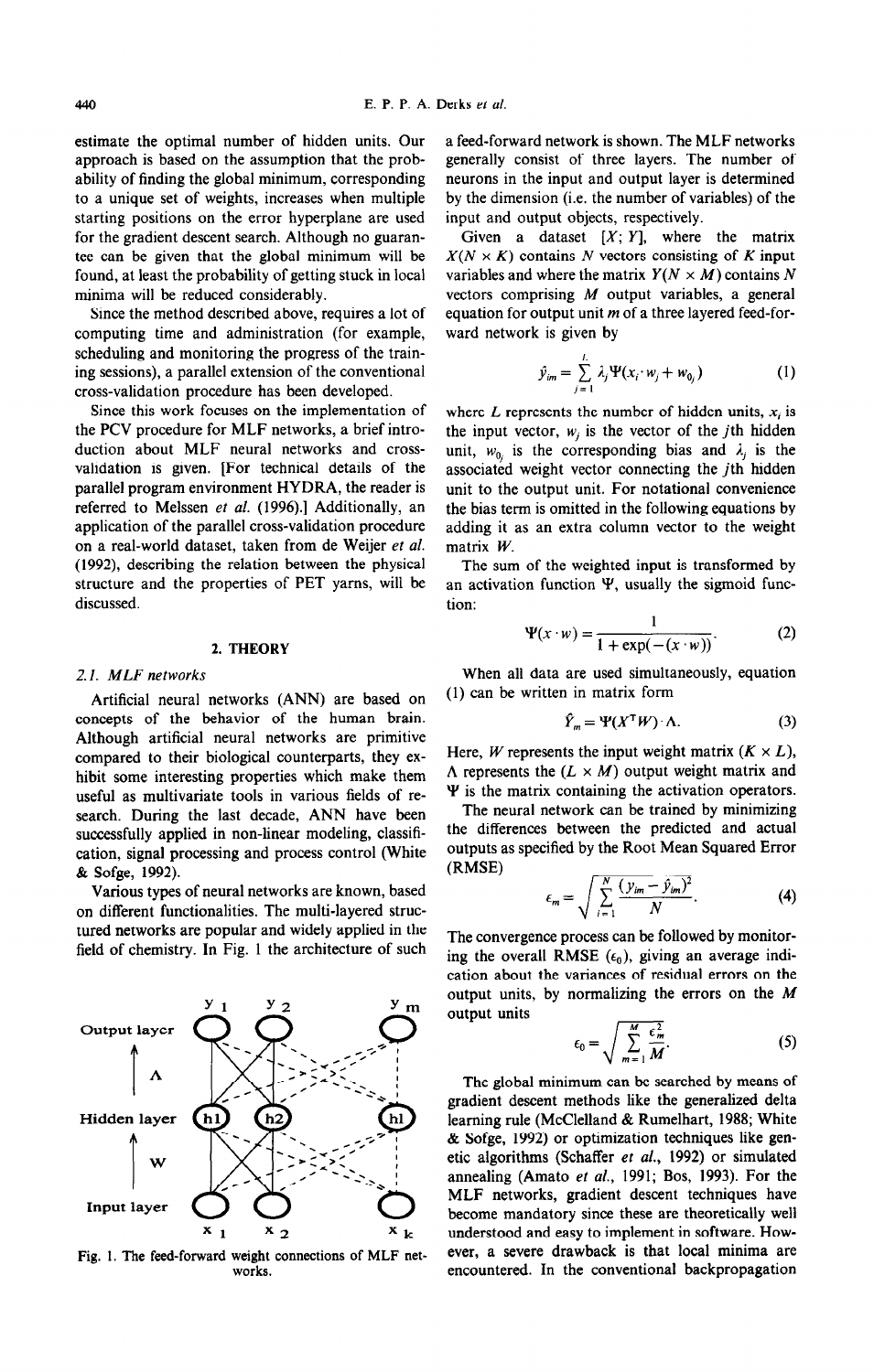estimate the optimal number of hidden units. Our approach is based on the assumption that the probability of finding the global minimum, corresponding to a unique set of weights, increases when multiple starting positions on the error hyperplane are used for the gradient descent search. Although no guarantee can be given that the global minimum will be found, at least the probability of getting stuck in local minima will be reduced considerably.

Since the method described above, requires a lot of computing time and administration (for example, scheduling and monitoring the progress of the training sessions), a parallel extension of the conventional cross-validation procedure has been developed.

Since this work focuses on the implementation of the PCV procedure for MLF networks, a brief introduction about MLF neural networks and crossvalidation is given. [For technical details of the parallel program environment HYDRA, the reader is referred to Melssen *et al. (1996).]* Additionally, an application of the parallel cross-validation procedure on a real-world dataset, taken from de Weijer *et al. (1992),* describing the relation between the physical structure and the properties of PET yarns, will be discussed.

#### 2. THEORY

#### 2.1. *MLF networks*

Output layer

Hidden layer

**Input layer** 

 $\int$   $\Lambda$ 

 $h1$ 

**I** W

Artificial neural networks (ANN) are based on concepts of the behavior of the human brain. Although artificial neural networks are primitive compared to their biological counterparts, they exhibit some interesting properties which make them useful as multivariate tools in various fields of research. During the last decade, ANN have been successfully applied in non-linear modeling, classification, signal processing and process control (White & Sofge, 1992).

Various types of neural networks are known, based on different functionalities. The multi-layered structured networks are popular and widely applied in the field of chemistry. In Fig. 1 the architecture of such



h2

 $x_1$   $x_2$   $x_k$ 

a feed-forward network is shown. The MLF networks generally consist of three layers. The number of neurons in the input and output layer is determined by the dimension (i.e. the number of variables) of the input and output objects, respectively.

Given a dataset  $[X; Y]$ , where the matrix  $X(N \times K)$  contains N vectors consisting of K input variables and where the matrix  $Y(N \times M)$  contains N vectors comprising  $M$  output variables, a general equation for output unit m of a three layered feed-forward network is given by

$$
\hat{y}_{im} = \sum_{j=1}^{L} \lambda_j \Psi(x_i \cdot w_j + w_{0_j}) \tag{1}
$$

where *L* represents the number of hidden units,  $x_i$  is the input vector,  $w_i$  is the vector of the *j*th hidden unit,  $w_0$  is the corresponding bias and  $\lambda_i$  is the associated weight vector connecting the jth hidden unit to the output unit. For notational convenience the bias term is omitted in the following equations by adding it as an extra column vector to the weight matrix *W.* 

The sum of the weighted input is transformed by an activation function  $\Psi$ , usually the sigmoid function:

$$
\Psi(x \cdot w) = \frac{1}{1 + \exp(-(x \cdot w))}.
$$
 (2)

When all data are used simultaneously, equation (1) can be written in matrix form

$$
\hat{Y}_m = \Psi(X^{\mathrm{T}}W) \cdot \Lambda. \tag{3}
$$

Here, *W* represents the input weight matrix  $(K \times L)$ , A represents the  $(L \times M)$  output weight matrix and Y is the matrix containing the activation operators.

The neural network can be trained by minimizing the differences between the predicted and actual outputs as specified by the Root Mean Squared Error (RMSE)

$$
\epsilon_m = \sqrt{\sum_{i=1}^{N} \frac{(y_{im} - \hat{y}_{im})^2}{N}}.
$$
 (4)

The convergence process can be followed by monitoring the overall RMSE  $(\epsilon_0)$ , giving an average indication about the variances of residual errors on the output units, by normalizing the errors on the  $M$ output units

$$
\epsilon_0 = \sqrt{\sum_{m=1}^{M} \frac{\epsilon_m^2}{M}}.
$$
 (5)

The global minimum can be searched by means of gradient descent methods like the generalized delta learning rule (McClelland & Rumelhart, 1988; White & Sofge, 1992) or optimization techniques like genetic algorithms (Schaffer *et al.,* 1992) or simulated annealing (Amato *et al.,* 1991; Bos, 1993). For the MLF networks, gradient descent techniques have become mandatory since these are theoretically well understood and easy to implement in software. However, a severe drawback is that local minima are encountered. In the conventional backpropagation

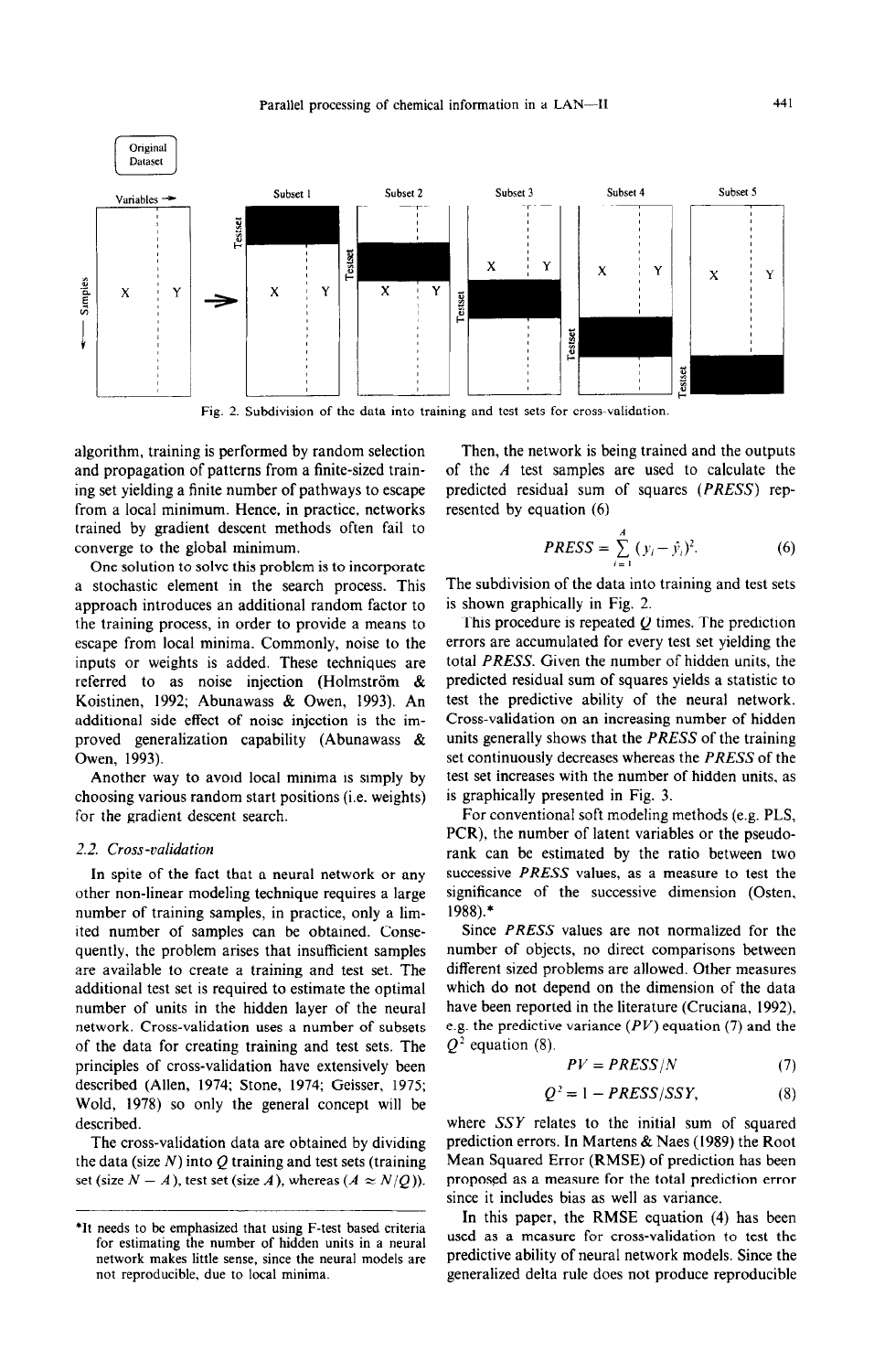

Fig. 2. Subdivision of the data into training and test sets for cross-validation.

algorithm, training is performed by random selection and propagation of patterns from a finite-sized training set yielding a finite number of pathways to escape from a local minimum. Hence, in practice, networks trained by gradient descent methods often fail to converge to the global minimum.

One solution to solve this problem is to incorporate a stochastic element in the search process. This approach introduces an additional random factor to the training process, in order to provide a means to escape from local minima. Commonly, noise to the inputs or weights is added. These techniques are referred to as noise injection (Holmström  $\&$ Koistinen, 1992; Abunawass & Owen, 1993). An additional side effect of noise injection is the improved generalization capability (Abunawass & Owen, 1993).

Another way to avoid local minima is simply by choosing various random start positions (i.e. weights) for the gradient descent search.

#### 2.2. *Cross-validation*

In spite of the fact that a neural network or any other non-linear modeling technique requires a large number of training samples, in practice, only a limited number of samples can be obtained. Consequently, the problem arises that insufficient samples are available to create a training and test set. The additional test set is required to estimate the optimal number of units in the hidden layer of the neural network. Cross-validation uses a number of subsets of the data for creating training and test sets. The principles of cross-validation have extensively been described (Allen, 1974; Stone, 1974; Geisser, 1975; Weld, 1978) so only the general concept will be described.

The cross-validation data are obtained by dividing the data (size  $N$ ) into  $Q$  training and test sets (training set (size  $N - A$ ), test set (size A), whereas  $(A \approx N/Q)$ ).

Then, the network is being trained and the outputs of the A test samples are used to calculate the predicted residual sum of squares *(PRESS)* represented by equation (6)

$$
PRESS = \sum_{i=1}^{A} (y_i - \hat{y}_i)^2.
$$
 (6)

The subdivision of the data into training and test sets is shown graphically in Fig. 2.

This procedure is repeated  $Q$  times. The prediction errors are accumulated for every test set yielding the total *PRESS.* Given the number of hidden units, the predicted residual sum of squares yields a statistic to test the predictive ability of the neural network. Cross-validation on an increasing number of hidden units generally shows that the *PRESS* of the training set continuously decreases whereas the *PRESS* of the test set increases with the number of hidden units, as is graphically presented in Fig. 3.

For conventional soft modeling methods (e.g. PLS, PCR), the number of latent variables or the pseudorank can be estimated by the ratio between two successive *PRESS* values, as a measure to test the significance of the successive dimension (Osten, 1988).\*

Since *PRESS* values are not normalized for the number of objects, no direct comparisons between different sized problems are allowed. Other measures which do not depend on the dimension of the data have been reported in the literature (Cruciana, 1992) e.g. the predictive variance *(PV)* equation (7) and the  $Q^2$  equation (8).

$$
PV = PRESS/N \tag{7}
$$

$$
Q^2 = 1 - PRESS/SSY, \tag{8}
$$

where SSY relates to the initial sum of squared prediction errors. In Martens & Naes (1989) the Root Mean Squared Error (RMSE) of prediction has been proposed as a measure for the total prediction error since it includes bias as well as variance.

In this paper, the RMSE equation (4) has been used as a measure for cross-validation to test the predictive ability of neural network models. Since the generalized delta rule does not produce reproducible

<sup>\*</sup>It needs to be emphasized that using F-test based criteria for estimating the number of hidden units in a neural network makes little sense, since the neural models are not reproducible, due to local minima.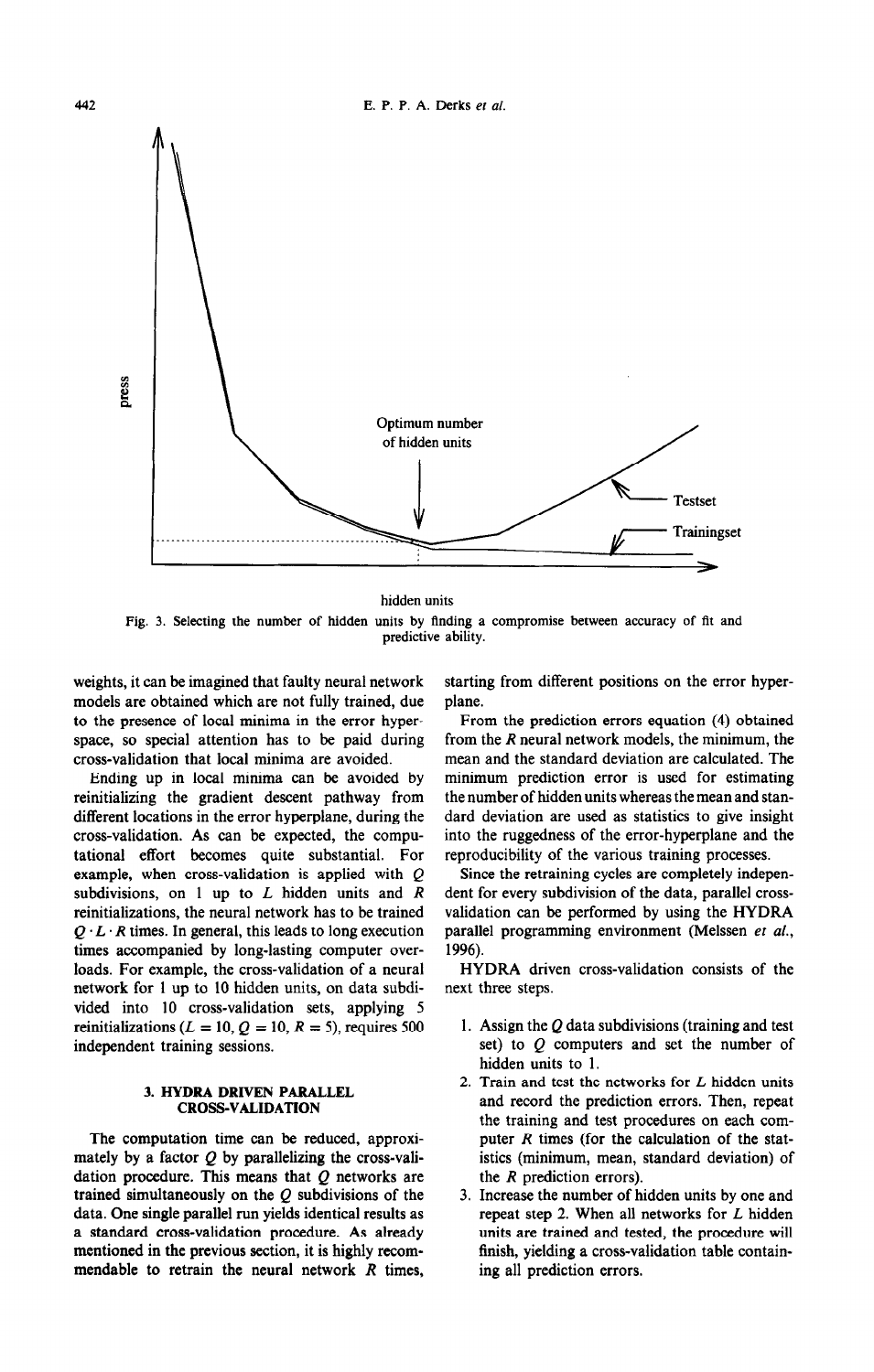

hidden units Fig. 3. Selecting the number of hidden units by finding a compromise between accuracy of fit and predictive ability.

weights, it can be imagined that faulty neural network models are obtained which are not fully trained, due to the presence of local minima in the error hyperspace, so special attention has to be paid during cross-validation that local minima are avoided.

Ending up in local minima can be avoided by reinitializing the gradient descent pathway from different locations in the error hyperplane, during the cross-validation. As can be expected, the computational effort becomes quite substantial. For example, when cross-validation is applied with Q subdivisions, on 1 up to *L* hidden units and *R*  reinitializations, the neural network has to be trained  $Q \cdot L \cdot R$  times. In general, this leads to long execution times accompanied by long-lasting computer overloads. For example, the cross-validation of a neural network for 1 up to 10 hidden units, on data subdivided into 10 cross-validation sets, applying 5 reinitializations  $(L = 10, Q = 10, R = 5)$ , requires 500 independent training sessions.

### 3. HYDRA DRIVEN PARALLEL CROSS-VALIDATION

The computation time can be reduced, approximately by a factor  $O$  by parallelizing the cross-validation procedure. This means that  $O$  networks are trained simultaneously on the  $Q$  subdivisions of the data. One single parallel run yields identical results as a standard cross-validation procedure. As already mentioned in the previous section, it is highly recommendable to retrain the neural network *R* times,

starting from different positions on the error hyperplane.

From the prediction errors equation (4) obtained from the *R* neural network models, the minimum, the mean and the standard deviation are calculated. The minimum prediction error is used for estimating the number of hidden units whereas the mean and standard deviation are used as statistics to give insight into the ruggedness of the error-hyperplane and the reproducibility of the various training processes.

Since the retraining cycles are completely independent for every subdivision of the data, parallel crossvalidation can be performed by using the HYDRA parallel programming environment (Melssen et al., 1996).

HYDRA driven cross-validation consists of the next three steps.

- 1. Assign the  $Q$  data subdivisions (training and test set) to Q computers and set the number of hidden units to 1.
- Train and test the networks for *L* hidden units and record the prediction errors. Then, repeat the training and test procedures on each computer *R* times (for the calculation of the statistics (minimum, mean, standard deviation) of the *R* prediction errors).
- Increase the number of hidden units by one and repeat step 2. When all networks for *L* hidden units are trained and tested, the procedure will finish, yielding a cross-validation table containing all prediction errors.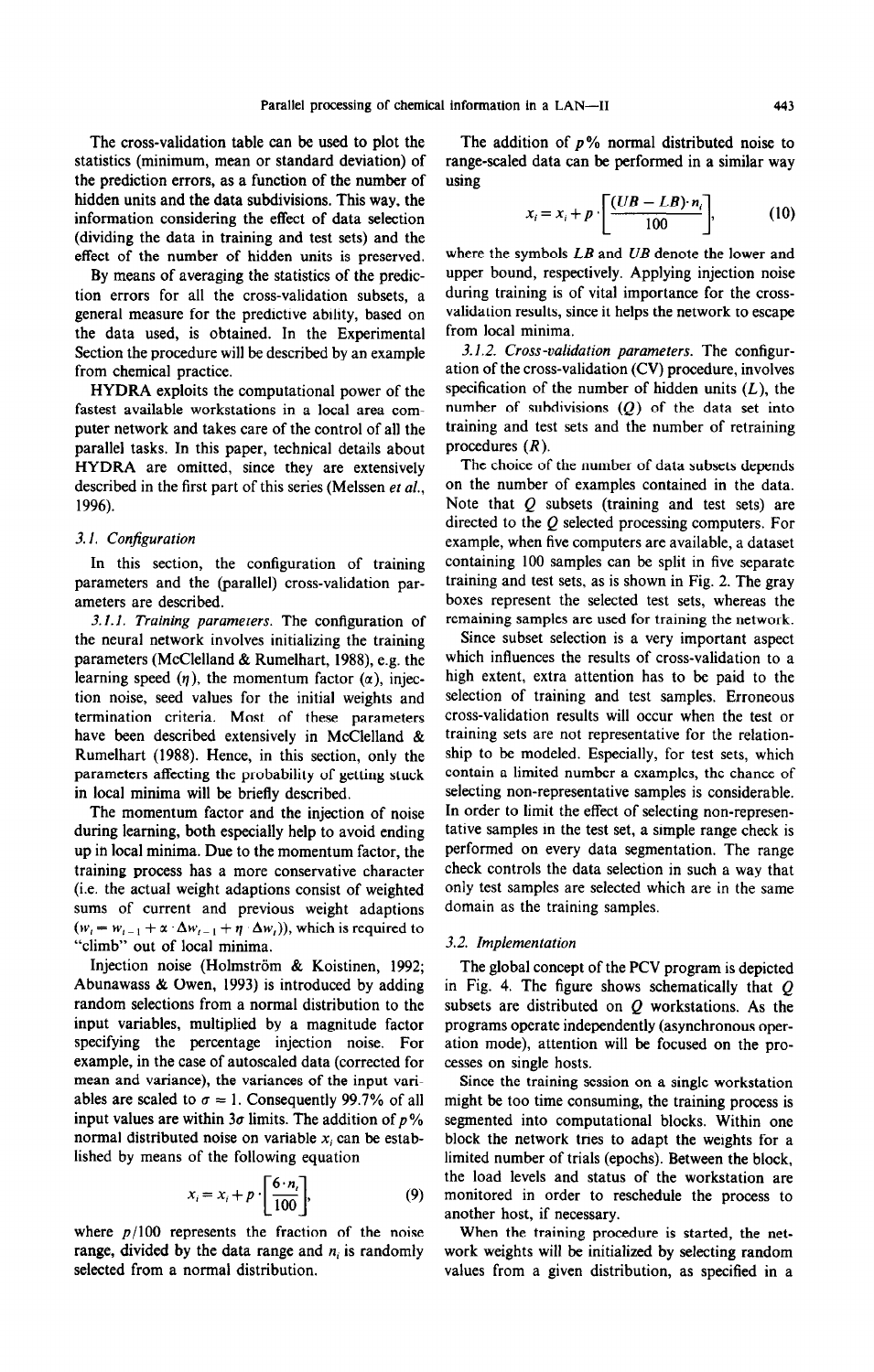The cross-validation table can be used to plot the statistics (minimum, mean or standard deviation) of the prediction errors, as a function of the number of hidden units and the data subdivisions. This way, the information considering the effect of data selection (dividing the data in training and test sets) and the effect of the number of hidden units is preserved.

By means of averaging the statistics of the prediction errors for all the cross-validation subsets, a general measure for the predictive ability, based on the data used, is obtained. In the Experimental Section the procedure will be described by an example from chemical practice.

HYDRA exploits the computational power of the fastest available workstations in a local area computer network and takes care of the control of all the parallel tasks. In this paper, technical details about HYDRA are omitted, since they are extensively described in the first part of this series (Melssen et *al.,*  1996).

## 3.1. *ConJguration*

In this section, the configuration of training parameters and the (parallel) cross-validation parameters are described.

3.1.1. *Training parameters.* The configuration of the neural network involves initializing the training parameters (McClelland & Rumelhart, 1988), e.g. the learning speed  $(\eta)$ , the momentum factor  $(\alpha)$ , injection noise, seed values for the initial weights and termination criteria. Most of these parameters have been described extensively in McClelland & Rumelhart (1988). Hence, in this section, only the parameters affecting the probability of getting stuck in local minima will be briefly described.

The momentum factor and the injection of noise during learning, both especially help to avoid ending up in local minima. Due to the momentum factor, the training process has a more conservative character (i.e. the actual weight adaptions consist of weighted sums of current and previous weight adaptions  $(w_i = w_{i-1} + \alpha \cdot \Delta w_{i-1} + \eta \cdot \Delta w_i)$ , which is required to "climb" out of local minima.

Injection noise (Holmström & Koistinen, 1992; Abunawass & Owen, 1993) is introduced by adding random selections from a normal distribution to the input variables, multiplied by a magnitude factor specifying the percentage injection noise. For example, in the case of autoscaled data (corrected for mean and variance), the variances of the input variables are scaled to  $\sigma = 1$ . Consequently 99.7% of all input values are within  $3\sigma$  limits. The addition of  $p\%$ normal distributed noise on variable  $x_i$  can be established by means of the following equation

$$
x_i = x_i + p \cdot \left[\frac{6 \cdot n_i}{100}\right],\tag{9}
$$

where  $p/100$  represents the fraction of the noise When the training procedure is started, the net-

The addition of *p%* normal distributed noise to range-scaled data can be performed in a similar way using

$$
x_i = x_i + p \cdot \left[ \frac{(UB - LB) \cdot n_i}{100} \right],\tag{10}
$$

where the symbols *LB* and UB denote the lower and upper bound, respectively. Applying injection noise during training is of vital importance for the crossvalidation results, since it helps the network to escape from local minima.

3.1.2. *Cross-validation parameters.* The configuration of the cross-validation (CV) procedure, involves specification of the number of hidden units *(L),* the number of subdivisions  $(Q)$  of the data set into training and test sets and the number of retraining procedures  $(R)$ .

The choice of the number of data subsets depends on the number of examples contained in the data. Note that  $Q$  subsets (training and test sets) are directed to the  $Q$  selected processing computers. For example, when five computers are available, a dataset containing 100 samples can be split in five separate training and test sets, as is shown in Fig. 2. The gray boxes represent the selected test sets, whereas the remaining samples are used for training the network.

Since subset selection is a very important aspect which influences the results of cross-validation to a high extent, extra attention has to be paid to the selection of training and test samples. Erroneous cross-validation results will occur when the test or training sets are not representative for the relationship to be modeled. Especially, for test sets, which contain a limited number a examples, the chance of selecting non-representative samples is considerable. In order to limit the effect of selecting non-representative samples in the test set, a simple range check is performed on every data segmentation. The range check controls the data selection in such a way that only test samples are selected which are in the same domain as the training samples.

#### 3.2. *Implementation*

The global concept of the PCV program is depicted in Fig. 4. The figure shows schematically that  $Q$ subsets are distributed on Q workstations. As the programs operate independently (asynchronous operation mode), attention will be focused on the processes on single hosts.

Since the training session on a single workstation might be too time consuming, the training process is segmented into computational blocks. Within one block the network tries to adapt the weights for a limited number of trials (epochs). Between the block, the load levels and status of the workstation are monitored in order to reschedule the process to another host, if necessary.

range, divided by the data range and  $n_i$  is randomly work weights will be initialized by selecting random selected from a normal distribution. values from a given distribution, as specified in a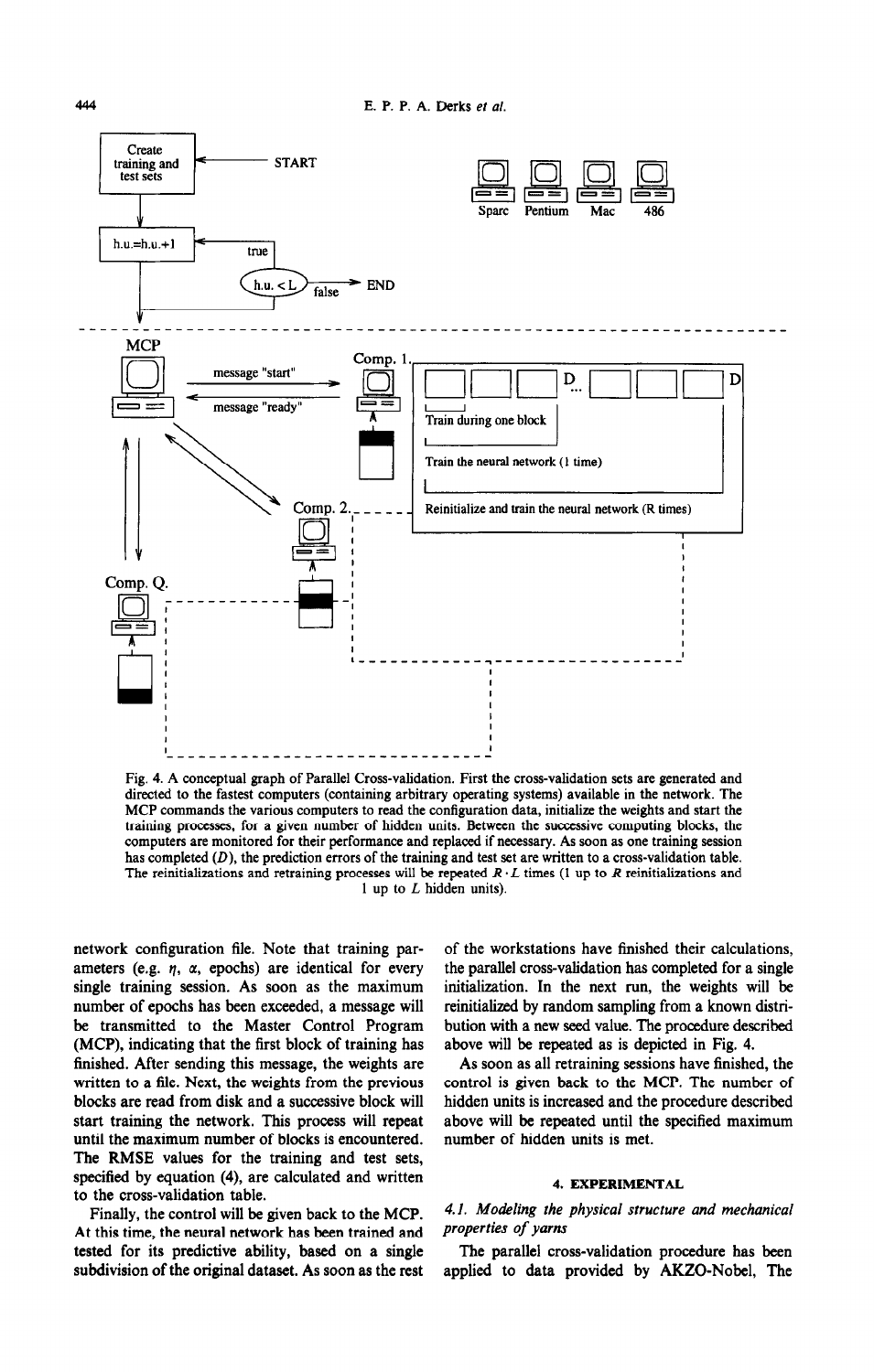

Fig. 4. A conceptual graph of Parallel Cross-validation. First the cross-validation sets are generated and directed to the fastest computers (containing arbitrary operating systems) available in the network. The MCP commands the various computers to read the configuration data, initialize the weights and start the training processes, for a given number of hidden units. Between the successive computing blocks, the computers are monitored for their performance. and replaced if necessary. As soon as one training session has completed (D), the prediction errors of the training and test set are written to a cross-validation table. The reinitializations and retraining processes will be repeated  $R \cdot L$  times (1 up to  $R$  reinitializations and 1 up to L hidden units).

network configuration file. Note that training parameters (e.g.  $\eta$ ,  $\alpha$ , epochs) are identical for every single training session. As soon as the maximum number of epochs has been exceeded, a message will be transmitted to the Master Control Program (MCP), indicating that the first block of training has finished. After sending this message, the weights are written to a file. Next, the weights from the previous blocks are read from disk and a successive block will start training the network. This process will repeat until the maximum number of blocks is encountered. The RMSE values for the training and test sets, specified by equation (4), are calculated and written to the cross-validation table.

Finally, the control will be given back to the MCP. At this time, the neural network has been trained and tested for its predictive ability, based on a single subdivision of the original dataset. As soon as the rest of the workstations have finished their calculations, the parallel cross-validation has completed for a single initialization. In the next run, the weights will be reinitialized by random sampling from a known distribution with a new seed value. The procedure described above will be repeated as is depicted in Fig. 4.

As soon as all retraining sessions have finished, the control is given back to the MCP. The number of hidden units is increased and the procedure described above will be repeated until the specified maximum number of hidden units is met.

#### 4. EXPERIMENTAL

## 4.1. Modeling *the physical structure and mechanical properties of yarns*

The parallel cross-validation procedure has been applied to data provided by AKZO-Nobel, The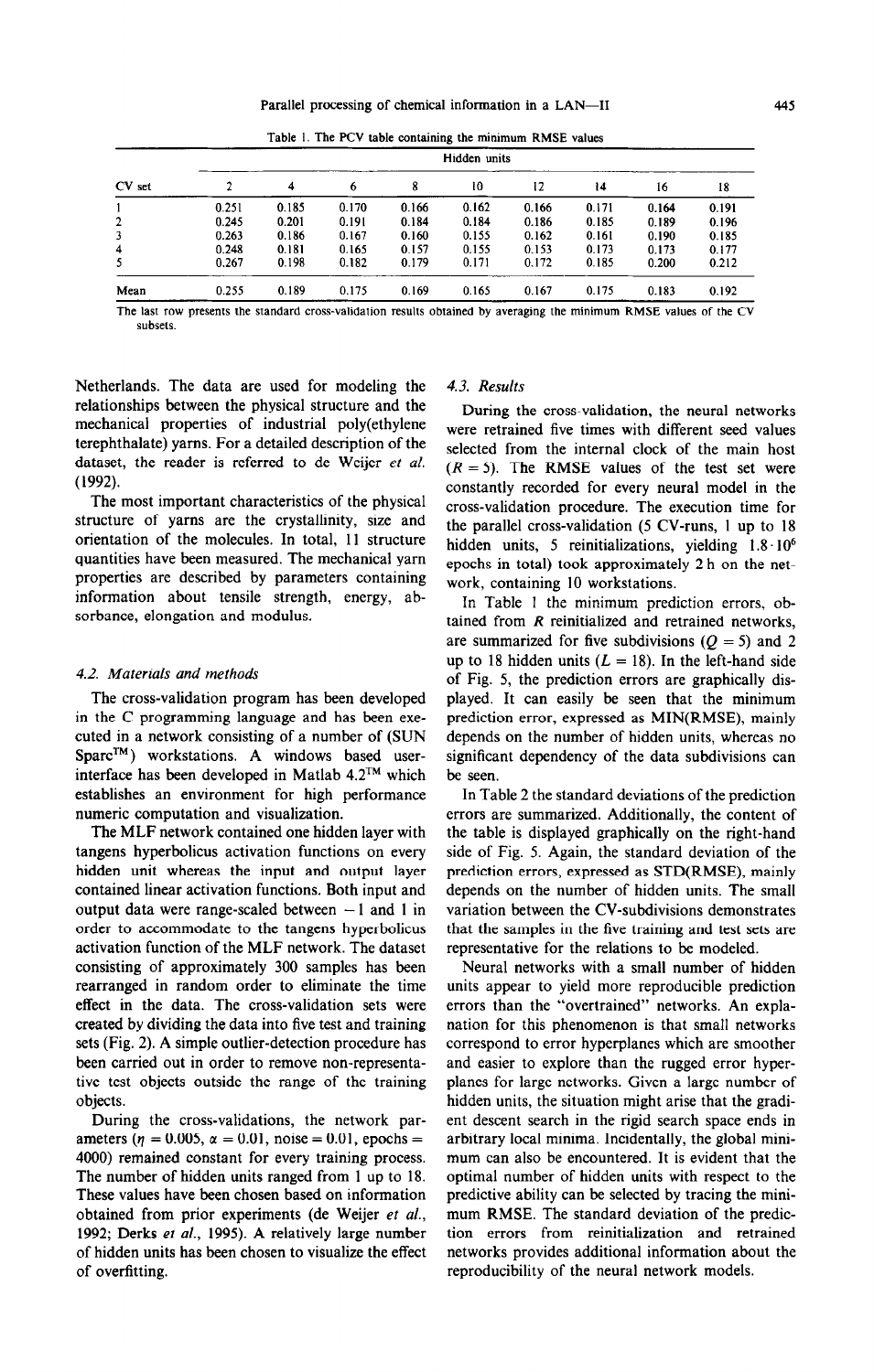Table 1. The PCV table containing the minimum RMSE values

| CV set         | Hidden units |       |       |       |       |       |       |       |       |  |
|----------------|--------------|-------|-------|-------|-------|-------|-------|-------|-------|--|
|                |              | 4     | 6     | 8     | 10    | 12    | 14    | 16    | 18    |  |
|                | 0.251        | 0.185 | 0.170 | 0.166 | 0.162 | 0.166 | 0.171 | 0.164 | 0.191 |  |
| $\overline{2}$ | 0.245        | 0.201 | 0.191 | 0.184 | 0.184 | 0.186 | 0.185 | 0.189 | 0.196 |  |
| 3              | 0.263        | 0.186 | 0.167 | 0.160 | 0.155 | 0.162 | 0.161 | 0.190 | 0.185 |  |
| 4              | 0.248        | 0.181 | 0.165 | 0.157 | 0.155 | 0.153 | 0.173 | 0.173 | 0.177 |  |
| 5              | 0.267        | 0.198 | 0.182 | 0.179 | 0.171 | 0.172 | 0.185 | 0.200 | 0.212 |  |
| Mean           | 0.255        | 0.189 | 0.175 | 0.169 | 0.165 | 0.167 | 0.175 | 0.183 | 0.192 |  |
|                |              |       | .     |       | .     |       | .     |       |       |  |

The last row presents the standard cross-validation results obtained by averaging the minimum RMSE values of the CV subsets.

Netherlands. The data are used for modeling the relationships between the physical structure and the mechanical properties of industrial poly(ethylene terephthalate) yarns. For a detailed description of the dataset, the reader is referred to de Weijer et al. (1992).

The most important characteristics of the physical structure of yarns are the crystallinity, size and orientation of the molecules. In total, 11 structure quantities have been measured. The mechanical yarn properties are described by parameters containing information about tensile strength, energy, absorbance, elongation and modulus.

#### 4.2. *Materials and methods*

The cross-validation program has been developed in the C programming language and has been executed in a network consisting of a number of (SUN  $Spare^{TM}$ ) workstations. A windows based userinterface has been developed in Matlab  $4.2^{TM}$  which establishes an environment for high performance numeric computation and visualization.

The MLF network contained one hidden layer with tangens hyperbolicus activation functions on every hidden unit whereas the input and output layer contained linear activation functions. Both input and output data were range-scaled between  $-1$  and 1 in order to accommodate to the tangens hyperbolicus activation function of the MLF network. The dataset consisting of approximately 300 samples has been rearranged in random order to eliminate the time effect in the data. The cross-validation sets were created by dividing the data into five test and training sets (Fig. 2). A simple outlier-detection procedure has been carried out in order to remove non-representative test objects outside the range of the training objects.

During the cross-validations, the network parameters ( $\eta = 0.005$ ,  $\alpha = 0.01$ , noise = 0.01, epochs = 4000) remained constant for every training process. The number of hidden units ranged from 1 up to 18. These values have been chosen based on information obtained from prior experiments (de Weijer *et al.,*  1992; Derks *et al.,* 1995). A relatively large number of hidden units has been chosen to visualize the effect of overfltting.

## 4.3. *Results*

During the cross-validation, the neural networks were retrained five times with different seed values selected from the internal clock of the main host  $(R = 5)$ . The RMSE values of the test set were constantly recorded for every neural model in the cross-validation procedure. The execution time for the parallel cross-validation (5 CV-runs, 1 up to 18 hidden units, 5 reinitializations, yielding  $1.8 \cdot 10^6$ epochs in total) took approximately 2 h on the network, containing 10 workstations.

In Table 1 the minimum prediction errors, obtained from *R* reinitialized and retrained networks, are summarized for five subdivisions  $(Q = 5)$  and 2 up to 18 hidden units  $(L = 18)$ . In the left-hand side of Fig. 5, the prediction errors are graphically displayed. It can easily be seen that the minimum prediction error, expressed as MIN(RMSE), mainly depends on the number of hidden units, whereas no significant dependency of the data subdivisions can be seen.

In Table 2 the standard deviations of the prediction errors are summarized. Additionally, the content of the table is displayed graphically on the right-hand side of Fig. 5. Again, the standard deviation of the prediction errors, expressed as STD(RMSE), mainly depends on the number of hidden units. The small variation between the CV-subdivisions demonstrates that the samples in the five training and test sets are representative for the relations to be modeled.

Neural networks with a small number of hidden units appear to yield more reproducible prediction errors than the "overtrained" networks. An explanation for this phenomenon is that small networks correspond to error hyperplanes which are smoother and easier to explore than the rugged error hyperplanes for large networks. Given a large number of hidden units, the situation might arise that the gradient descent search in the rigid search space ends in arbitrary local minima. Incidentally, the global minimum can also be encountered. It is evident that the optimal number of hidden units with respect to the predictive ability can be selected by tracing the minimum RMSE. The standard deviation of the prediction errors from reinitialization and retrained networks provides additional information about the reproducibility of the neural network models.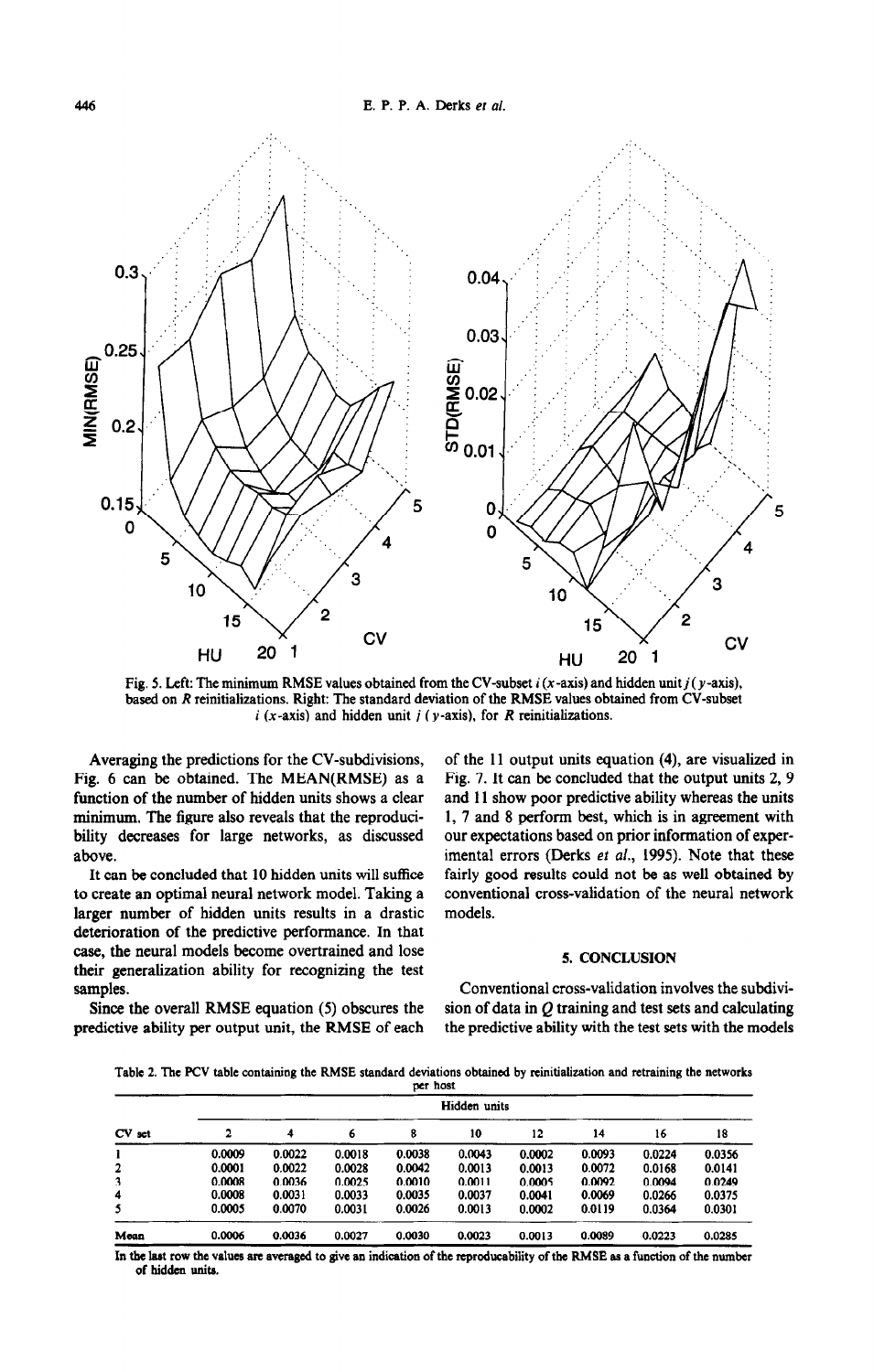

Fig. 5. Left: The minimum RMSE values obtained from the CV-subset  $i$  (x-axis) and hidden unit  $j$  (y-axis), based on R reinitializations. Right: The standard deviation of the RMSE values obtained from CV-subset  $i$  (x-axis) and hidden unit  $j$  (y-axis), for  $R$  reinitializations.

Averaging the predictions for the CV-subdivisions, Fig. 6 can be obtained. The MEAN(RMSE) as a function of the number of hidden units shows a clear minimum. The figure also reveals that the reproducibility decreases for large networks, as discussed above.

It can be concluded that 10 hidden units will suffice to create an optimal neural network model. Taking a larger number of hidden units results in a drastic deterioration of the predictive performance. In that case, the neural models become overtrained and lose their generalization ability for recognizing the test samples.

Since the overall RMSE equation (5) obscures the predictive ability per output unit, the RMSE of each

of the 11 output units equation (4), are visualized in Fig. 7. It can be concluded that the output units 2, 9 and 11 show poor predictive ability whereas the units 1, 7 and 8 perform best, which is in agreement with our expectations based on prior information of experimental errors (Derks et al., 1995). Note that these fairly good results could not be as well obtained by conventional cross-validation of the neural network models.

#### 5. CONCLUSION

Conventional cross-validation involves the subdivision of data in  $Q$  training and test sets and calculating the predictive ability with the test sets with the models

Table 2. The PCV table containing the RMSE standard deviations obtained by reinitialization and retraining the networks

| per host       |              |        |        |        |        |        |        |        |        |  |  |
|----------------|--------------|--------|--------|--------|--------|--------|--------|--------|--------|--|--|
| CV set         | Hidden units |        |        |        |        |        |        |        |        |  |  |
|                | 2            | 4      | 6      | 8      | 10     | 12     | 14     | 16     | 18     |  |  |
|                | 0.0009       | 0.0022 | 0.0018 | 0.0038 | 0.0043 | 0.0002 | 0.0093 | 0.0224 | 0.0356 |  |  |
| $\overline{2}$ | 0.0001       | 0.0022 | 0.0028 | 0.0042 | 0.0013 | 0.0013 | 0.0072 | 0.0168 | 0.0141 |  |  |
| 3              | 0.0008       | 0.0036 | 0.0025 | 0.0010 | 0.0011 | 0.0005 | 0.0092 | 0.0094 | 0.0249 |  |  |
| 4              | 0.0008       | 0.0031 | 0.0033 | 0.0035 | 0.0037 | 0.0041 | 0.0069 | 0.0266 | 0.0375 |  |  |
| 5              | 0.0005       | 0.0070 | 0.0031 | 0.0026 | 0.0013 | 0.0002 | 0.0119 | 0.0364 | 0.0301 |  |  |
| Mean           | 0.0006       | 0.0036 | 0.0027 | 0.0030 | 0.0023 | 0.0013 | 0.0089 | 0.0223 | 0.0285 |  |  |

In the last row the values arc averaged to give an indication of the repmducability of the RMSE as a function of the number of hidden units.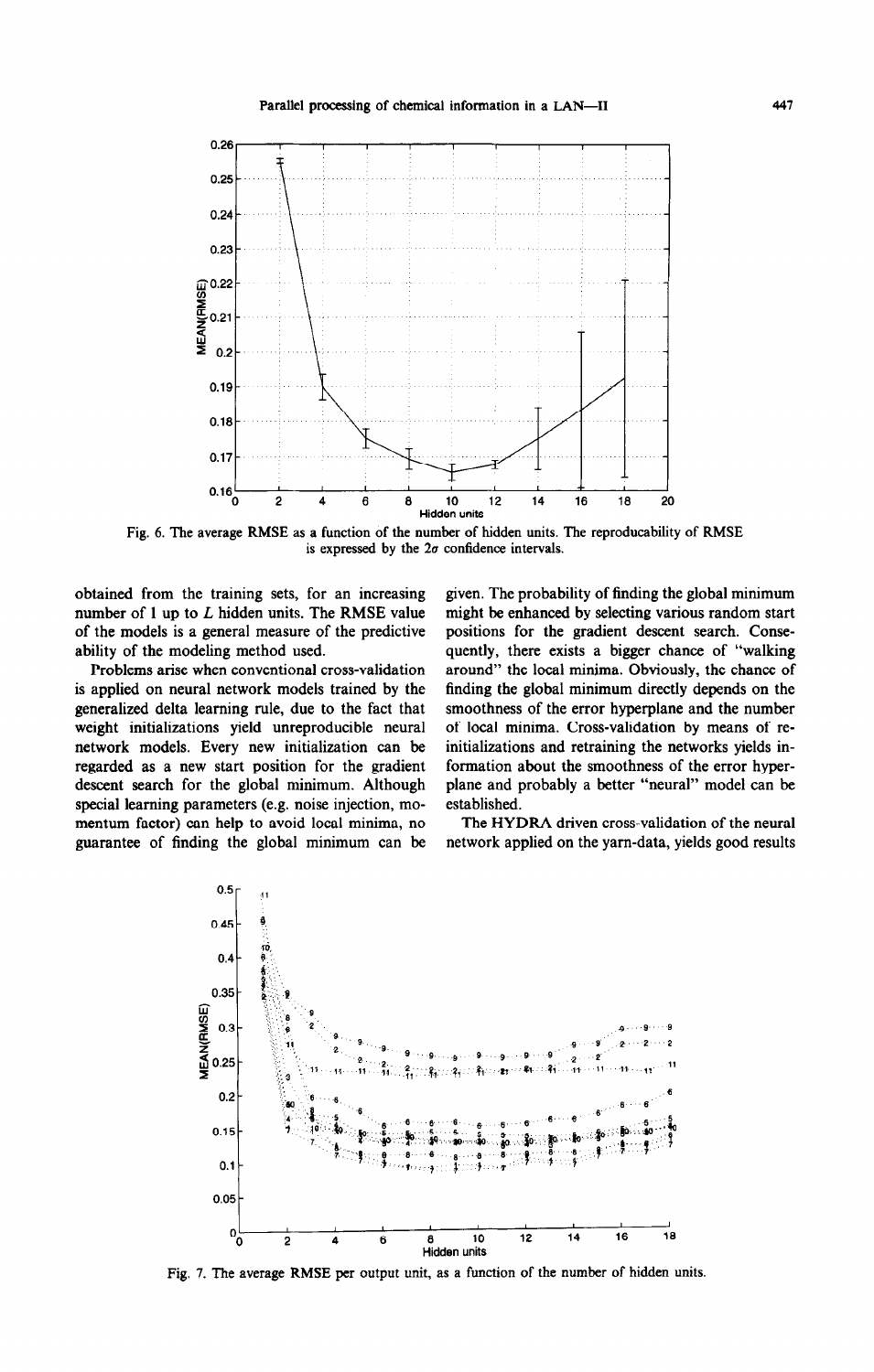

Fig. 6. The average RMSE as a function of the number of hidden units. The reproducability of RMSE is expressed by the  $2\sigma$  confidence intervals.

obtained from the training sets, for an increasing number of 1 up to *L* hidden units. The RMSE value of the models is a general measure of the predictive ability of the modeling method used.

Problems arise when conventional cross-validation is applied on neural network models trained by the generalized delta learning rule, due to the fact that weight initializations yield unreproducible neural network models. Every new initialization can be regarded as a new start position for the gradient descent search for the global minimum. Although special learning parameters (e.g. noise injection, momentum factor) can help to avoid local minima, no guarantee of finding the global minimum can be

given. The probability of finding the global minimum might be enhanced by selecting various random start positions for the gradient descent search. Consequently, there exists a bigger chance of "walking around" the local minima. Obviously, the chance of finding the global minimum directly depends on the smoothness of the error hyperplane and the number of local minima. Cross-validation by means of reinitializations and retraining the networks yields information about the smoothness of the error hyperplane and probably a better "neural" model can be established.

The HYDRA driven cross-validation of the neural network applied on the yam-data, yields good results



Fig. 7. The **average** RMSE per output unit, as a function of the number of hidden units.